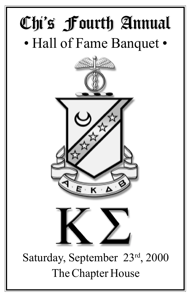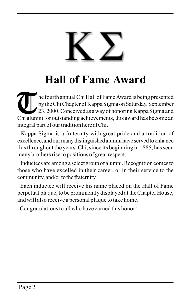

## **Hall of Fame Award**

he fourth annual Chi Hall of Fame Award is being presented by the Chi Chapter of Kappa Sigma on Saturday, September 23, 2000. Conceived as a way of honoring Kappa Sigma and The fourth annual Chi Hall of Fame Award is being presented<br>by the Chi Chapter of Kappa Sigma on Saturday, September<br>23, 2000. Conceived as a way of honoring Kappa Sigma and<br>Chi alumni for outstanding achievements, this aw integral part of our tradition here at Chi.

 Kappa Sigma is a fraternity with great pride and a tradition of excellence, and our many distinguished alumni have served to enhance this throughout the years. Chi, since its beginning in 1885, has seen many brothers rise to positions of great respect.

 Inductees are among a select group of alumni. Recognition comes to those who have excelled in their career, or in their service to the community, and/or to the fraternity.

 Each inductee will receive his name placed on the Hall of Fame perpetual plaque, to be prominently displayed at the Chapter House, and will also receive a personal plaque to take home.

Congratulations to all who have earned this honor!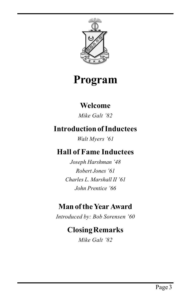

### **Program**

#### **Welcome**

*Mike Galt í82*

#### **Introduction of Inductees**

*Walt Myers '61* 

#### **Hall of Fame Inductees**

*Joseph Harshman í48 Robert Jones í61 Charles L. Marshall II í61 John Prentice í66*

#### **Man of the Year Award**

*Introduced by: Bob Sorensen í60*

#### **Closing Remarks**

*Mike Galt í82*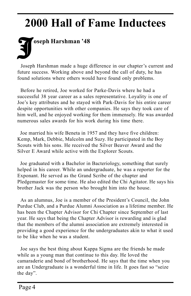## **2000 Hall of Fame Inductees**

# J**oseph Harshman í48**

Joseph Harshman made a huge difference in our chapter's current and future success. Working above and beyond the call of duty, he has found solutions where others would have found only problems.

 Before he retired, Joe worked for Parke-Davis where he had a successful 38 year career as a sales representative. Loyality is one of Joe's key attributes and he stayed with Park-Davis for his entire career despite opportunities with other companies. He says they took care of him well, and he enjoyed working for them immensely. He was awarded numerous sales awards for his work during his time there.

 Joe married his wife Beneta in 1957 and they have five children: Kemp, Mark, Debbie, Malcolm and Suzy. He participated in the Boy Scouts with his sons. He received the Silver Beaver Award and the Silver E Award while active with the Explorer Scouts.

 Joe graduated with a Bachelor in Bacteriology, something that surely helped in his career. While an undergraduate, he was a reporter for the Exponant. He served as the Grand Scribe of the chapter and Pledgemaster for some time. He also edited the Chi Agitator. He says his brother Jack was the person who brought him into the house.

As an alumnus, Joe is a member of the President's Council, the John Purdue Club, and a Purdue Alumni Association as a lifetime member. He has been the Chapter Advisor for Chi Chapter since September of last year. He says that being the Chapter Advisor is rewarding and is glad that the members of the alumni association are extremely interested in providing a good experience for the undergraduates akin to what it used to be like when he was a student.

 Joe says the best thing about Kappa Sigma are the friends he made while as a young man that continue to this day. He loved the camaraderie and bond of brotherhood. He says that the time when you are an Undergraduate is a wonderful time in life. It goes fast so "seize" the day".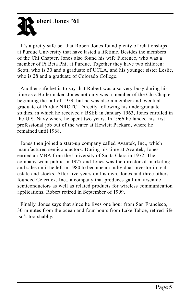

It's a pretty safe bet that Robert Jones found plenty of relationships at Purdue University that have lasted a lifetime. Besides the members of the Chi Chapter, Jones also found his wife Florence, who was a member of Pi Beta Phi, at Purdue. Together they have two children: Scott, who is 30 and a graduate of UCLA, and his younger sister Leslie, who is 28 and a graduate of Colorado College.

 Another safe bet is to say that Robert was also very busy during his time as a Boilermaker. Jones not only was a member of the Chi Chapter beginning the fall of 1959, but he was also a member and eventual graduate of Purdue NROTC. Directly following his undergraduate studies, in which he received a BSEE in January 1963, Jones enrolled in the U.S. Navy where he spent two years. In 1966 he landed his first professional job out of the water at Hewlett Packard, where he remained until 1968.

 Jones then joined a start-up company called Avantek, Inc., which manufactured semiconductors. During his time at Avantek, Jones earned an MBA from the University of Santa Clara in 1972. The company went public in 1977 and Jones was the director of marketing and sales until he left in 1980 to become an individual investor in real estate and stocks. After five years on his own, Jones and three others founded Celeritek, Inc., a company that produces gallium arsenide semiconductors as well as related products for wireless communication applications. Robert retired in September of 1999.

 Finally, Jones says that since he lives one hour from San Francisco, 30 minutes from the ocean and four hours from Lake Tahoe, retired life isn't too shabby.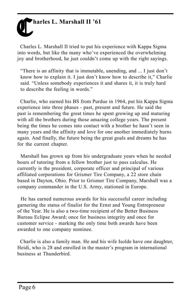## harles L. Marshall II '61

 Charles L. Marshall II tried to put his experience with Kappa Sigma into words, but like the many who've experienced the overwhelming joy and brotherhood, he just couldn't come up with the right sayings.

"There is an affinity that is immutable, unending, and  $\dots$  I just don't know how to explain it. I just don't know how to describe it," Charlie said. "Unless somebody experiences it and shares it, it is truly hard to describe the feeling in words."

 Charlie, who earned his BS from Purdue in 1964, put his Kappa Sigma experience into three phases - past, present and future. He said the past is remembering the great times he spent growing up and maturing with all the brothers during those amazing college years. The present being the times he comes into contact with a brother he hasn't seen in many years and the affinity and love for one another immediately burns again. And finally, the future being the great goals and dreams he has for the current chapter.

 Marshall has grown up from his undergraduate years when he needed hours of tutoring from a fellow brother just to pass calculus. He currently is the president, corporate officer and principal of various affiliated corporations for Grismer Tire Company, a 22 store chain based in Dayton, Ohio. Prior to Grismer Tire Company, Marshall was a company commander in the U.S. Army, stationed in Europe.

 He has earned numerous awards for his successful career including garnering the status of finalist for the Ernst and Young Entrepreneur of the Year. He is also a two-time recipient of the Better Business Bureau Eclipse Award; once for business integrity and once for customer service - marking the only time both awards have been awarded to one company nominee.

 Charlie is also a family man. He and his wife Isolde have one daughter, Heidi, who is 28 and enrolled in the master's program in international business at Thunderbird.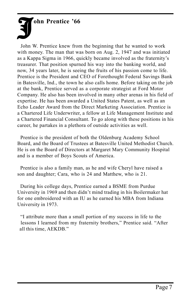J**ohn Prentice í66**

 John W. Prentice knew from the beginning that he wanted to work with money. The man that was born on Aug. 2, 1947 and was initiated as a Kappa Sigma in 1966, quickly became involved as the fraternity's treasurer. That position spurned his way into the banking world, and now, 34 years later, he is seeing the fruits of his passion come to life. Prentice is the President and CEO of Forethought Federal Savings Bank in Batesville, Ind., the town he also calls home. Before taking on the job at the bank, Prentice served as a corporate strategist at Ford Motor Company. He also has been involved in many other arenas in his field of expertise. He has been awarded a United States Patent, as well as an Echo Leader Award from the Direct Marketing Association. Prentice is a Chartered Life Underwriter, a fellow at Life Management Institute and a Chartered Financial Consultant. To go along with these positions in his career, he partakes in a plethora of outside activities as well.

 Prentice is the president of both the Oldenburg Academy School Board, and the Board of Trustees at Batesville United Methodist Church. He is on the Board of Directors at Margaret Mary Community Hospital and is a member of Boys Scouts of America.

 Prentice is also a family man, as he and wife Cheryl have raised a son and daughter; Cara, who is 24 and Matthew, who is 21.

 During his college days, Prentice earned a BSME from Purdue University in 1969 and then didn't mind trading in his Boilermaker hat for one embroidered with an IU as he earned his MBA from Indiana University in 1973.

 ìI attribute more than a small portion of my success in life to the lessons I learned from my fraternity brothers," Prentice said. "After all this time, AEKDB."